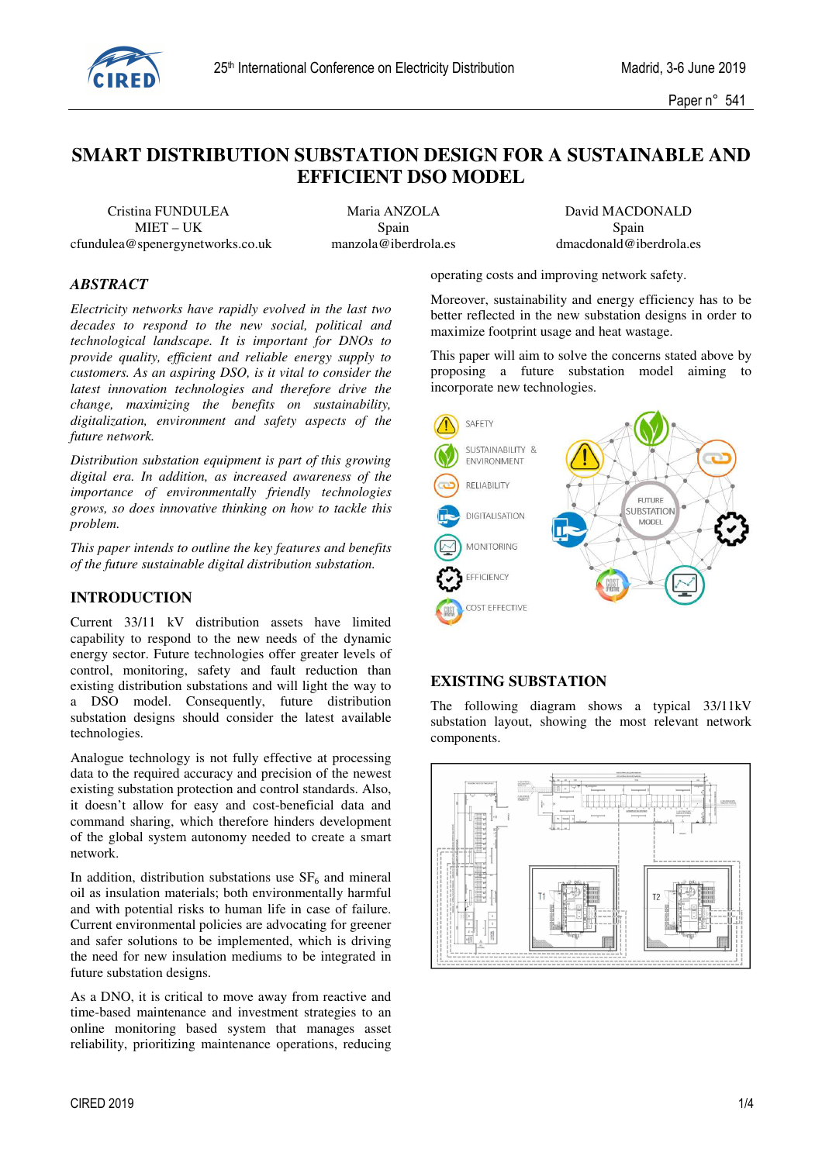

# **SMART DISTRIBUTION SUBSTATION DESIGN FOR A SUSTAINABLE AND EFFICIENT DSO MODEL**

 Cristina FUNDULEA Maria ANZOLA David MACDONALD cfundulea@spenergynetworks.co.uk manzola@iberdrola.es dmacdonald@iberdrola.es

MIET – UK Spain Spain Spain Spain Spain

## *ABSTRACT*

*Electricity networks have rapidly evolved in the last two decades to respond to the new social, political and technological landscape. It is important for DNOs to provide quality, efficient and reliable energy supply to customers. As an aspiring DSO, is it vital to consider the latest innovation technologies and therefore drive the change, maximizing the benefits on sustainability, digitalization, environment and safety aspects of the future network.* 

*Distribution substation equipment is part of this growing digital era. In addition, as increased awareness of the importance of environmentally friendly technologies grows, so does innovative thinking on how to tackle this problem.* 

*This paper intends to outline the key features and benefits of the future sustainable digital distribution substation.* 

#### **INTRODUCTION**

Current 33/11 kV distribution assets have limited capability to respond to the new needs of the dynamic energy sector. Future technologies offer greater levels of control, monitoring, safety and fault reduction than existing distribution substations and will light the way to a DSO model. Consequently, future distribution substation designs should consider the latest available technologies.

Analogue technology is not fully effective at processing data to the required accuracy and precision of the newest existing substation protection and control standards. Also, it doesn't allow for easy and cost-beneficial data and command sharing, which therefore hinders development of the global system autonomy needed to create a smart network.

In addition, distribution substations use  $SF<sub>6</sub>$  and mineral oil as insulation materials; both environmentally harmful and with potential risks to human life in case of failure. Current environmental policies are advocating for greener and safer solutions to be implemented, which is driving the need for new insulation mediums to be integrated in future substation designs.

As a DNO, it is critical to move away from reactive and time-based maintenance and investment strategies to an online monitoring based system that manages asset reliability, prioritizing maintenance operations, reducing operating costs and improving network safety.

Moreover, sustainability and energy efficiency has to be better reflected in the new substation designs in order to maximize footprint usage and heat wastage.

This paper will aim to solve the concerns stated above by proposing a future substation model aiming to incorporate new technologies.



#### **EXISTING SUBSTATION**

The following diagram shows a typical 33/11kV substation layout, showing the most relevant network components.

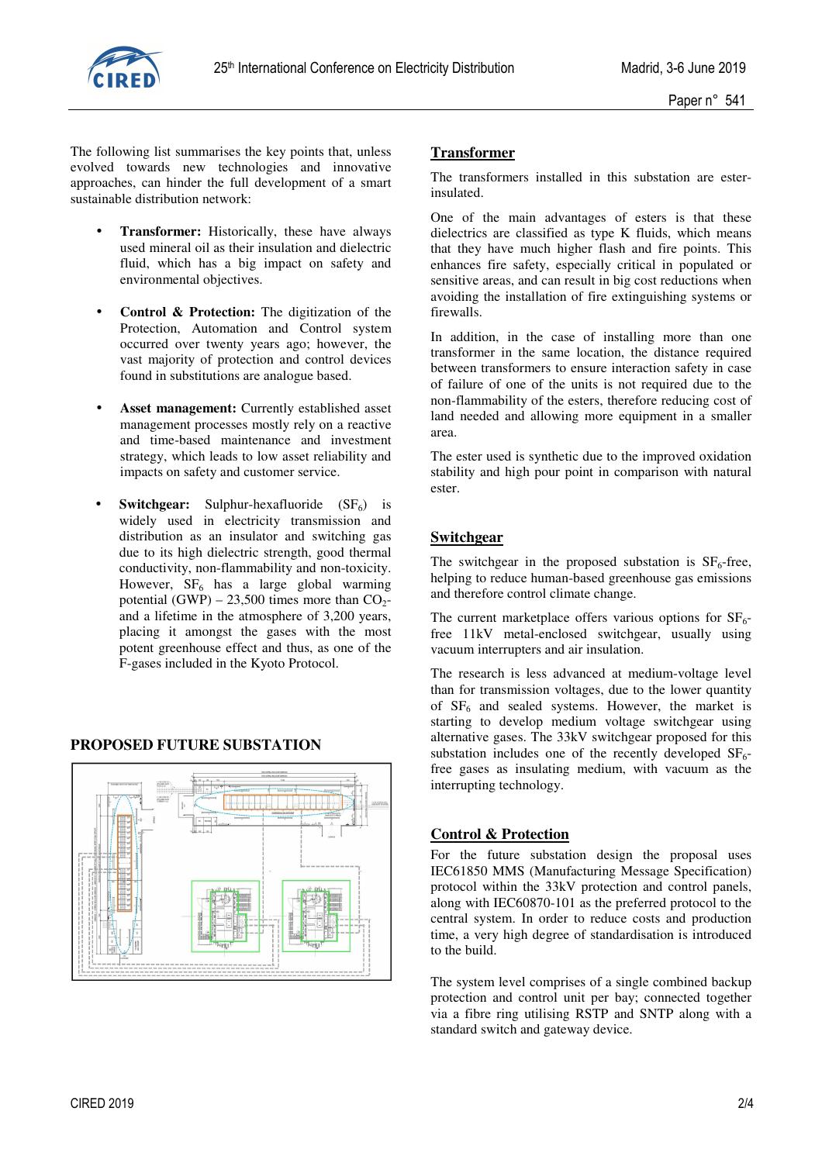

The following list summarises the key points that, unless evolved towards new technologies and innovative approaches, can hinder the full development of a smart sustainable distribution network:

- **Transformer:** Historically, these have always used mineral oil as their insulation and dielectric fluid, which has a big impact on safety and environmental objectives.
- **Control & Protection:** The digitization of the Protection, Automation and Control system occurred over twenty years ago; however, the vast majority of protection and control devices found in substitutions are analogue based.
- Asset management: Currently established asset management processes mostly rely on a reactive and time-based maintenance and investment strategy, which leads to low asset reliability and impacts on safety and customer service.
- **Switchgear:** Sulphur-hexafluoride  $(SF_6)$  is widely used in electricity transmission and distribution as an insulator and switching gas due to its high dielectric strength, good thermal conductivity, non-flammability and non-toxicity. However,  $SF_6$  has a large global warming potential  $(GWP) - 23,500$  times more than  $CO<sub>2</sub>$ and a lifetime in the atmosphere of 3,200 years, placing it amongst the gases with the most potent greenhouse effect and thus, as one of the F-gases included in the Kyoto Protocol.

## **PROPOSED FUTURE SUBSTATION**



# **Transformer**

The transformers installed in this substation are esterinsulated.

One of the main advantages of esters is that these dielectrics are classified as type K fluids, which means that they have much higher flash and fire points. This enhances fire safety, especially critical in populated or sensitive areas, and can result in big cost reductions when avoiding the installation of fire extinguishing systems or firewalls.

In addition, in the case of installing more than one transformer in the same location, the distance required between transformers to ensure interaction safety in case of failure of one of the units is not required due to the non-flammability of the esters, therefore reducing cost of land needed and allowing more equipment in a smaller area.

The ester used is synthetic due to the improved oxidation stability and high pour point in comparison with natural ester.

## **Switchgear**

The switchgear in the proposed substation is  $SF<sub>6</sub>$ -free, helping to reduce human-based greenhouse gas emissions and therefore control climate change.

The current marketplace offers various options for  $SF_6$ free 11kV metal-enclosed switchgear, usually using vacuum interrupters and air insulation.

The research is less advanced at medium-voltage level than for transmission voltages, due to the lower quantity of  $SF<sub>6</sub>$  and sealed systems. However, the market is starting to develop medium voltage switchgear using alternative gases. The 33kV switchgear proposed for this substation includes one of the recently developed  $SF<sub>6</sub>$ free gases as insulating medium, with vacuum as the interrupting technology.

## **Control & Protection**

For the future substation design the proposal uses IEC61850 MMS (Manufacturing Message Specification) protocol within the 33kV protection and control panels, along with IEC60870-101 as the preferred protocol to the central system. In order to reduce costs and production time, a very high degree of standardisation is introduced to the build.

The system level comprises of a single combined backup protection and control unit per bay; connected together via a fibre ring utilising RSTP and SNTP along with a standard switch and gateway device.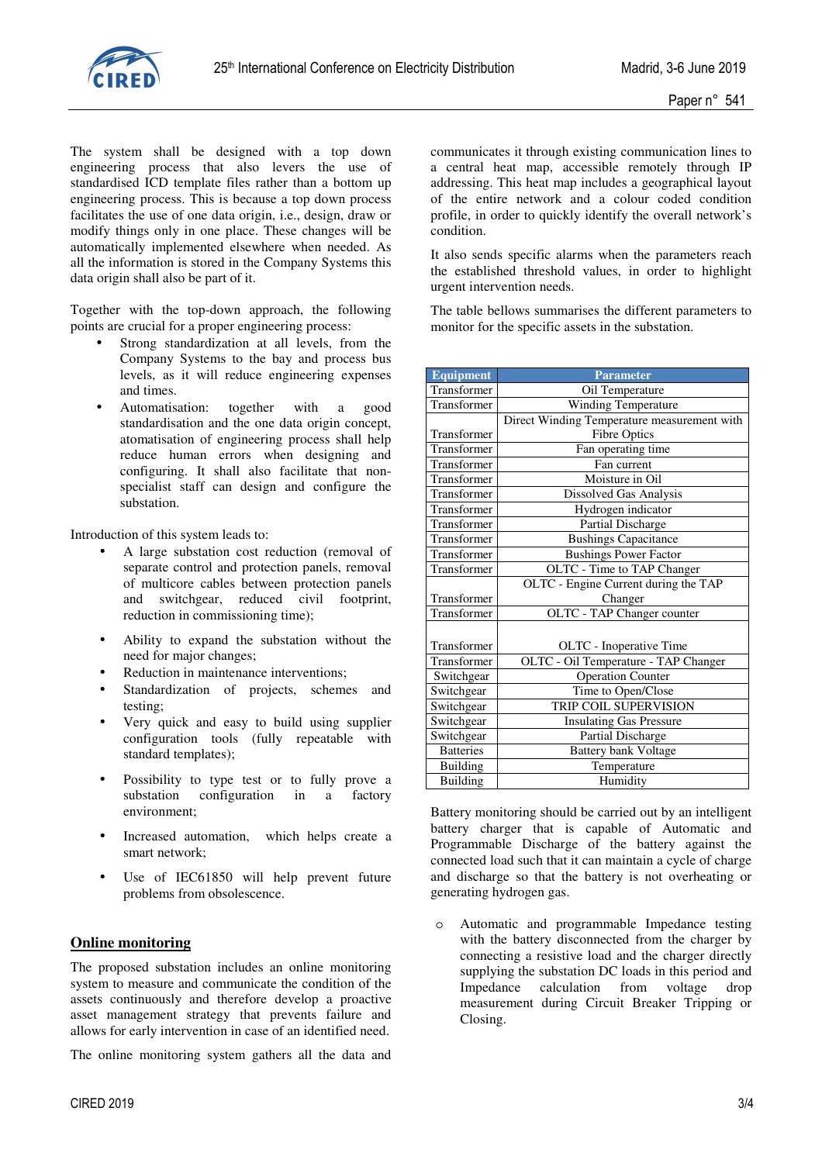

The system shall be designed with a top down engineering process that also levers the use of standardised ICD template files rather than a bottom up engineering process. This is because a top down process facilitates the use of one data origin, i.e., design, draw or modify things only in one place. These changes will be automatically implemented elsewhere when needed. As all the information is stored in the Company Systems this data origin shall also be part of it.

Together with the top-down approach, the following points are crucial for a proper engineering process:

- Strong standardization at all levels, from the Company Systems to the bay and process bus levels, as it will reduce engineering expenses and times.
- Automatisation: together with a good standardisation and the one data origin concept, atomatisation of engineering process shall help reduce human errors when designing and configuring. It shall also facilitate that nonspecialist staff can design and configure the substation.

Introduction of this system leads to:

- A large substation cost reduction (removal of separate control and protection panels, removal of multicore cables between protection panels and switchgear, reduced civil footprint, reduction in commissioning time);
- Ability to expand the substation without the need for major changes;
- Reduction in maintenance interventions;
- Standardization of projects, schemes and testing;
- Very quick and easy to build using supplier configuration tools (fully repeatable with standard templates);
- Possibility to type test or to fully prove a substation configuration in a factory configuration in a factory environment;
- Increased automation, which helps create a smart network;
- Use of IEC61850 will help prevent future problems from obsolescence.

## **Online monitoring**

The proposed substation includes an online monitoring system to measure and communicate the condition of the assets continuously and therefore develop a proactive asset management strategy that prevents failure and allows for early intervention in case of an identified need.

The online monitoring system gathers all the data and

communicates it through existing communication lines to a central heat map, accessible remotely through IP addressing. This heat map includes a geographical layout of the entire network and a colour coded condition profile, in order to quickly identify the overall network's condition.

It also sends specific alarms when the parameters reach the established threshold values, in order to highlight urgent intervention needs.

The table bellows summarises the different parameters to monitor for the specific assets in the substation.

| <b>Equipment</b> | <b>Parameter</b>                            |
|------------------|---------------------------------------------|
| Transformer      | Oil Temperature                             |
| Transformer      | <b>Winding Temperature</b>                  |
|                  | Direct Winding Temperature measurement with |
| Transformer      | <b>Fibre Optics</b>                         |
| Transformer      | Fan operating time                          |
| Transformer      | Fan current                                 |
| Transformer      | Moisture in Oil                             |
| Transformer      | Dissolved Gas Analysis                      |
| Transformer      | Hydrogen indicator                          |
| Transformer      | Partial Discharge                           |
| Transformer      | <b>Bushings Capacitance</b>                 |
| Transformer      | <b>Bushings Power Factor</b>                |
| Transformer      | OLTC - Time to TAP Changer                  |
|                  | OLTC - Engine Current during the TAP        |
| Transformer      | Changer                                     |
| Transformer      | OLTC - TAP Changer counter                  |
|                  |                                             |
| Transformer      | OLTC - Inoperative Time                     |
| Transformer      | OLTC - Oil Temperature - TAP Changer        |
| Switchgear       | <b>Operation Counter</b>                    |
| Switchgear       | Time to Open/Close                          |
| Switchgear       | TRIP COIL SUPERVISION                       |
| Switchgear       | <b>Insulating Gas Pressure</b>              |
| Switchgear       | Partial Discharge                           |
| <b>Batteries</b> | <b>Battery bank Voltage</b>                 |
| <b>Building</b>  | Temperature                                 |
| Building         | Humidity                                    |

Battery monitoring should be carried out by an intelligent battery charger that is capable of Automatic and Programmable Discharge of the battery against the connected load such that it can maintain a cycle of charge and discharge so that the battery is not overheating or generating hydrogen gas.

o Automatic and programmable Impedance testing with the battery disconnected from the charger by connecting a resistive load and the charger directly supplying the substation DC loads in this period and Impedance calculation from voltage drop measurement during Circuit Breaker Tripping or Closing.